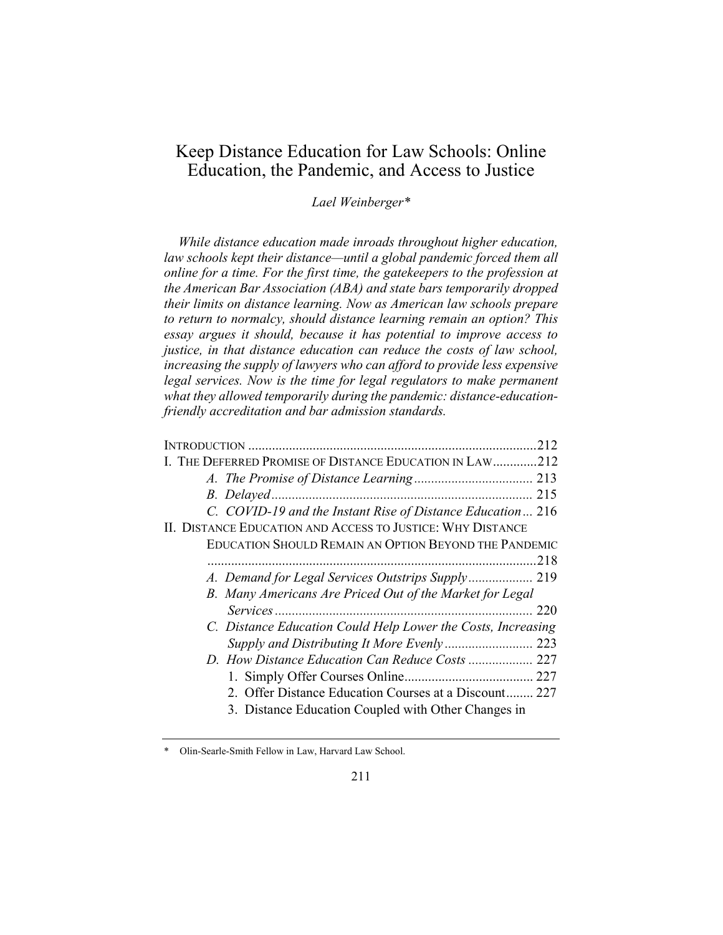# Keep Distance Education for Law Schools: Online Education, the Pandemic, and Access to Justice

## Lael Weinberger\*

While distance education made inroads throughout higher education, law schools kept their distance—until a global pandemic forced them all online for a time. For the first time, the gatekeepers to the profession at the American Bar Association (ABA) and state bars temporarily dropped their limits on distance learning. Now as American law schools prepare to return to normalcy, should distance learning remain an option? This essay argues it should, because it has potential to improve access to justice, in that distance education can reduce the costs of law school, increasing the supply of lawyers who can afford to provide less expensive legal services. Now is the time for legal regulators to make permanent what they allowed temporarily during the pandemic: distance-educationfriendly accreditation and bar admission standards.

| I. THE DEFERRED PROMISE OF DISTANCE EDUCATION IN LAW212      |  |
|--------------------------------------------------------------|--|
|                                                              |  |
|                                                              |  |
| C. COVID-19 and the Instant Rise of Distance Education 216   |  |
| II. DISTANCE EDUCATION AND ACCESS TO JUSTICE: WHY DISTANCE   |  |
| EDUCATION SHOULD REMAIN AN OPTION BEYOND THE PANDEMIC        |  |
| .218                                                         |  |
| A. Demand for Legal Services Outstrips Supply 219            |  |
| B. Many Americans Are Priced Out of the Market for Legal     |  |
| 220                                                          |  |
| C. Distance Education Could Help Lower the Costs, Increasing |  |
|                                                              |  |
|                                                              |  |
|                                                              |  |
| 2. Offer Distance Education Courses at a Discount 227        |  |
| 3. Distance Education Coupled with Other Changes in          |  |
|                                                              |  |

<sup>\*</sup> Olin-Searle-Smith Fellow in Law, Harvard Law School.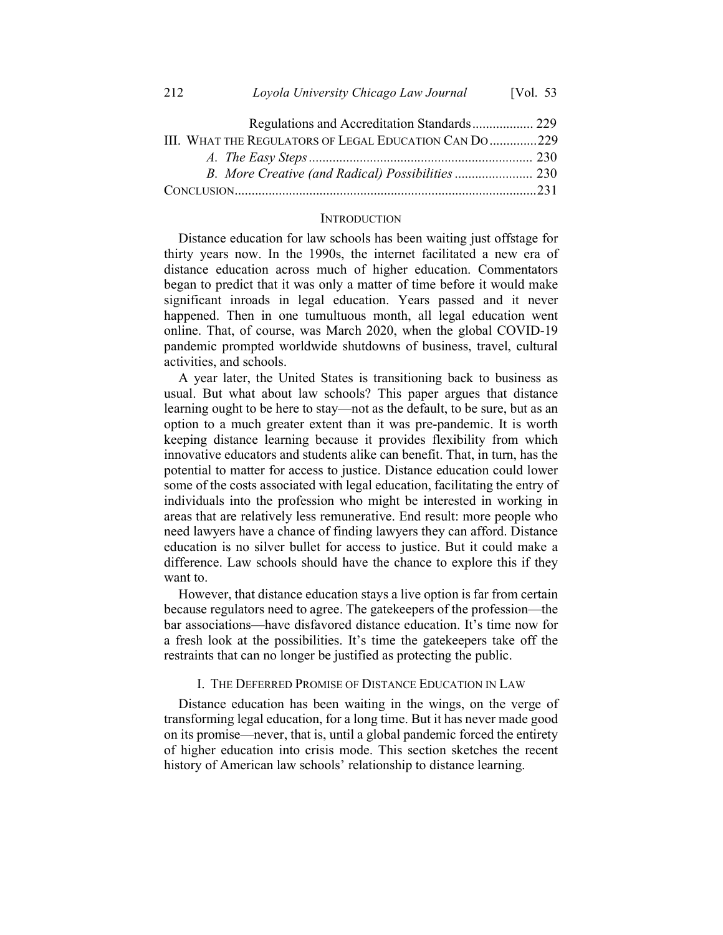| Regulations and Accreditation Standards 229            |  |
|--------------------------------------------------------|--|
| III. WHAT THE REGULATORS OF LEGAL EDUCATION CAN DO 229 |  |
|                                                        |  |
|                                                        |  |
|                                                        |  |

#### **INTRODUCTION**

Distance education for law schools has been waiting just offstage for thirty years now. In the 1990s, the internet facilitated a new era of distance education across much of higher education. Commentators began to predict that it was only a matter of time before it would make significant inroads in legal education. Years passed and it never happened. Then in one tumultuous month, all legal education went online. That, of course, was March 2020, when the global COVID-19 pandemic prompted worldwide shutdowns of business, travel, cultural activities, and schools.

A year later, the United States is transitioning back to business as usual. But what about law schools? This paper argues that distance learning ought to be here to stay—not as the default, to be sure, but as an option to a much greater extent than it was pre-pandemic. It is worth keeping distance learning because it provides flexibility from which innovative educators and students alike can benefit. That, in turn, has the potential to matter for access to justice. Distance education could lower some of the costs associated with legal education, facilitating the entry of individuals into the profession who might be interested in working in areas that are relatively less remunerative. End result: more people who need lawyers have a chance of finding lawyers they can afford. Distance education is no silver bullet for access to justice. But it could make a difference. Law schools should have the chance to explore this if they want to.

However, that distance education stays a live option is far from certain because regulators need to agree. The gatekeepers of the profession—the bar associations—have disfavored distance education. It's time now for a fresh look at the possibilities. It's time the gatekeepers take off the restraints that can no longer be justified as protecting the public.

#### I. THE DEFERRED PROMISE OF DISTANCE EDUCATION IN LAW

Distance education has been waiting in the wings, on the verge of transforming legal education, for a long time. But it has never made good on its promise—never, that is, until a global pandemic forced the entirety of higher education into crisis mode. This section sketches the recent history of American law schools' relationship to distance learning.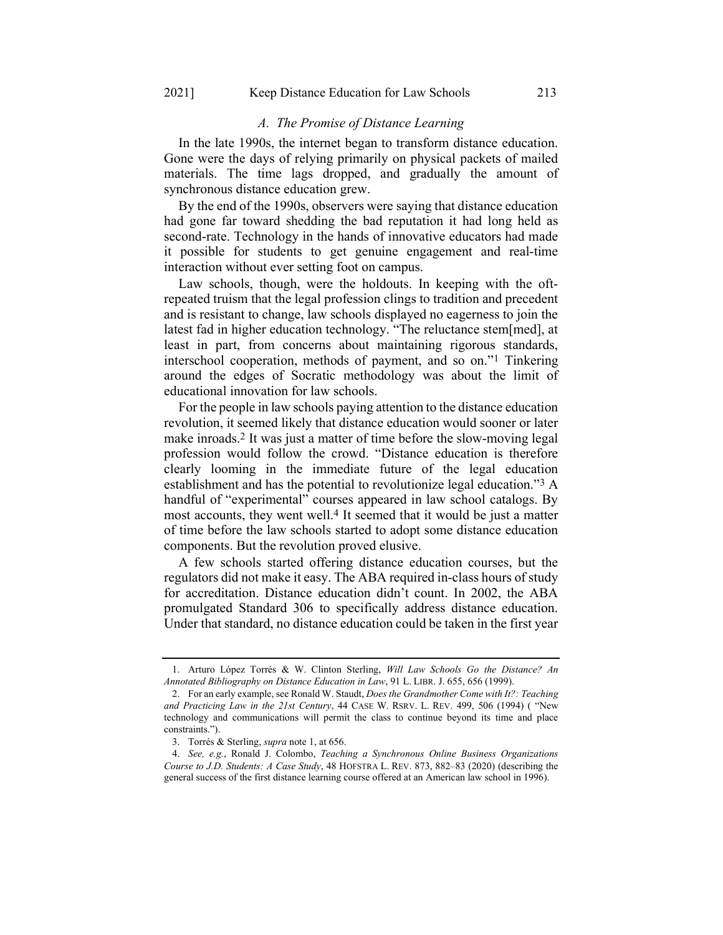## A. The Promise of Distance Learning

In the late 1990s, the internet began to transform distance education. Gone were the days of relying primarily on physical packets of mailed materials. The time lags dropped, and gradually the amount of synchronous distance education grew.

By the end of the 1990s, observers were saying that distance education had gone far toward shedding the bad reputation it had long held as second-rate. Technology in the hands of innovative educators had made it possible for students to get genuine engagement and real-time interaction without ever setting foot on campus.

Law schools, though, were the holdouts. In keeping with the oftrepeated truism that the legal profession clings to tradition and precedent and is resistant to change, law schools displayed no eagerness to join the latest fad in higher education technology. "The reluctance stem[med], at least in part, from concerns about maintaining rigorous standards, interschool cooperation, methods of payment, and so on."1 Tinkering around the edges of Socratic methodology was about the limit of educational innovation for law schools.

For the people in law schools paying attention to the distance education revolution, it seemed likely that distance education would sooner or later make inroads.2 It was just a matter of time before the slow-moving legal profession would follow the crowd. "Distance education is therefore clearly looming in the immediate future of the legal education establishment and has the potential to revolutionize legal education."3 A handful of "experimental" courses appeared in law school catalogs. By most accounts, they went well.4 It seemed that it would be just a matter of time before the law schools started to adopt some distance education components. But the revolution proved elusive.

A few schools started offering distance education courses, but the regulators did not make it easy. The ABA required in-class hours of study for accreditation. Distance education didn't count. In 2002, the ABA promulgated Standard 306 to specifically address distance education. Under that standard, no distance education could be taken in the first year

<sup>1.</sup> Arturo López Torrés & W. Clinton Sterling, Will Law Schools Go the Distance? An Annotated Bibliography on Distance Education in Law, 91 L. LIBR. J. 655, 656 (1999).

<sup>2.</sup> For an early example, see Ronald W. Staudt, Does the Grandmother Come with It?: Teaching and Practicing Law in the 21st Century, 44 CASE W. RSRV. L. REV. 499, 506 (1994) ( "New technology and communications will permit the class to continue beyond its time and place constraints.").

<sup>3.</sup> Torrés & Sterling, supra note 1, at 656.

<sup>4.</sup> See, e.g., Ronald J. Colombo, Teaching a Synchronous Online Business Organizations Course to J.D. Students: A Case Study, 48 HOFSTRA L. REV. 873, 882–83 (2020) (describing the general success of the first distance learning course offered at an American law school in 1996).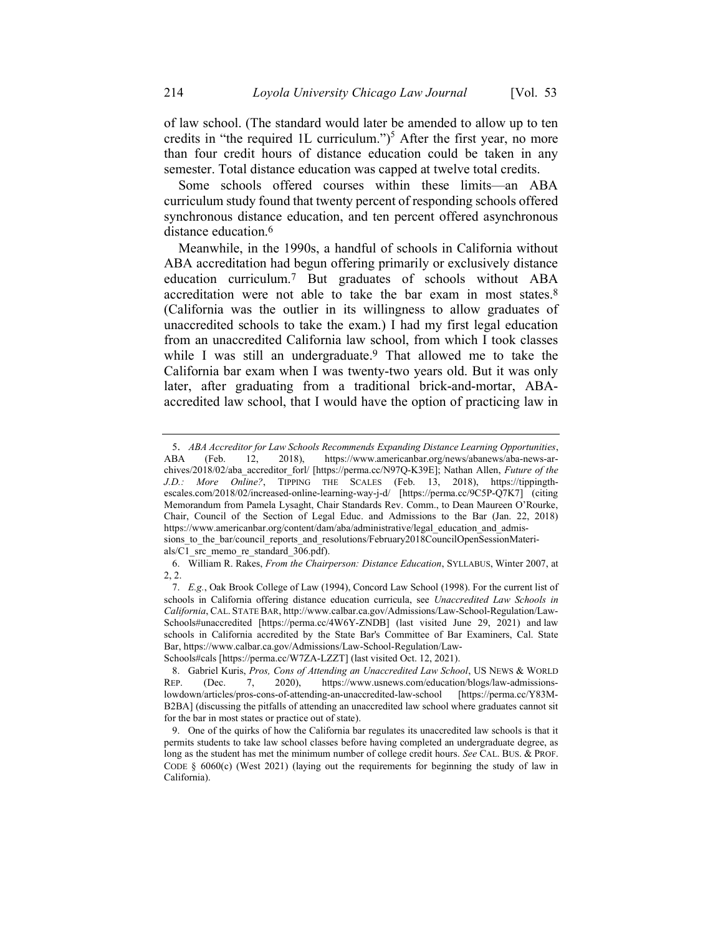of law school. (The standard would later be amended to allow up to ten credits in "the required 1L curriculum.")<sup>5</sup> After the first year, no more than four credit hours of distance education could be taken in any semester. Total distance education was capped at twelve total credits.

Some schools offered courses within these limits—an ABA curriculum study found that twenty percent of responding schools offered synchronous distance education, and ten percent offered asynchronous distance education.<sup>6</sup>

Meanwhile, in the 1990s, a handful of schools in California without ABA accreditation had begun offering primarily or exclusively distance education curriculum.7 But graduates of schools without ABA accreditation were not able to take the bar exam in most states.8 (California was the outlier in its willingness to allow graduates of unaccredited schools to take the exam.) I had my first legal education from an unaccredited California law school, from which I took classes while I was still an undergraduate.<sup>9</sup> That allowed me to take the California bar exam when I was twenty-two years old. But it was only later, after graduating from a traditional brick-and-mortar, ABAaccredited law school, that I would have the option of practicing law in

<sup>5</sup>. ABA Accreditor for Law Schools Recommends Expanding Distance Learning Opportunities, ABA (Feb. 12, 2018), https://www.americanbar.org/news/abanews/aba-news-archives/2018/02/aba\_accreditor\_forl/ [https://perma.cc/N97Q-K39E]; Nathan Allen, Future of the J.D.: More Online?, TIPPING THE SCALES (Feb. 13, 2018), https://tippingthescales.com/2018/02/increased-online-learning-way-j-d/ [https://perma.cc/9C5P-Q7K7] (citing Memorandum from Pamela Lysaght, Chair Standards Rev. Comm., to Dean Maureen O'Rourke, Chair, Council of the Section of Legal Educ. and Admissions to the Bar (Jan. 22, 2018) https://www.americanbar.org/content/dam/aba/administrative/legal\_education\_and\_admissions to the bar/council reports and resolutions/February2018CouncilOpenSessionMateri-

als/C1 src\_memo\_re\_standard\_306.pdf). 6. William R. Rakes, From the Chairperson: Distance Education, SYLLABUS, Winter 2007, at 2, 2.

<sup>7.</sup> E.g., Oak Brook College of Law (1994), Concord Law School (1998). For the current list of schools in California offering distance education curricula, see Unaccredited Law Schools in California, CAL. STATE BAR, http://www.calbar.ca.gov/Admissions/Law-School-Regulation/Law-Schools#unaccredited [https://perma.cc/4W6Y-ZNDB] (last visited June 29, 2021) and law schools in California accredited by the State Bar's Committee of Bar Examiners, Cal. State Bar, https://www.calbar.ca.gov/Admissions/Law-School-Regulation/Law-Schools#cals [https://perma.cc/W7ZA-LZZT] (last visited Oct. 12, 2021).

<sup>8.</sup> Gabriel Kuris, Pros, Cons of Attending an Unaccredited Law School, US NEWS & WORLD

REP. (Dec. 7, 2020), https://www.usnews.com/education/blogs/law-admissionslowdown/articles/pros-cons-of-attending-an-unaccredited-law-school [https://perma.cc/Y83M-B2BA] (discussing the pitfalls of attending an unaccredited law school where graduates cannot sit for the bar in most states or practice out of state).

<sup>9.</sup> One of the quirks of how the California bar regulates its unaccredited law schools is that it permits students to take law school classes before having completed an undergraduate degree, as long as the student has met the minimum number of college credit hours. See CAL. BUS. & PROF. CODE  $\S$  6060(c) (West 2021) (laying out the requirements for beginning the study of law in California).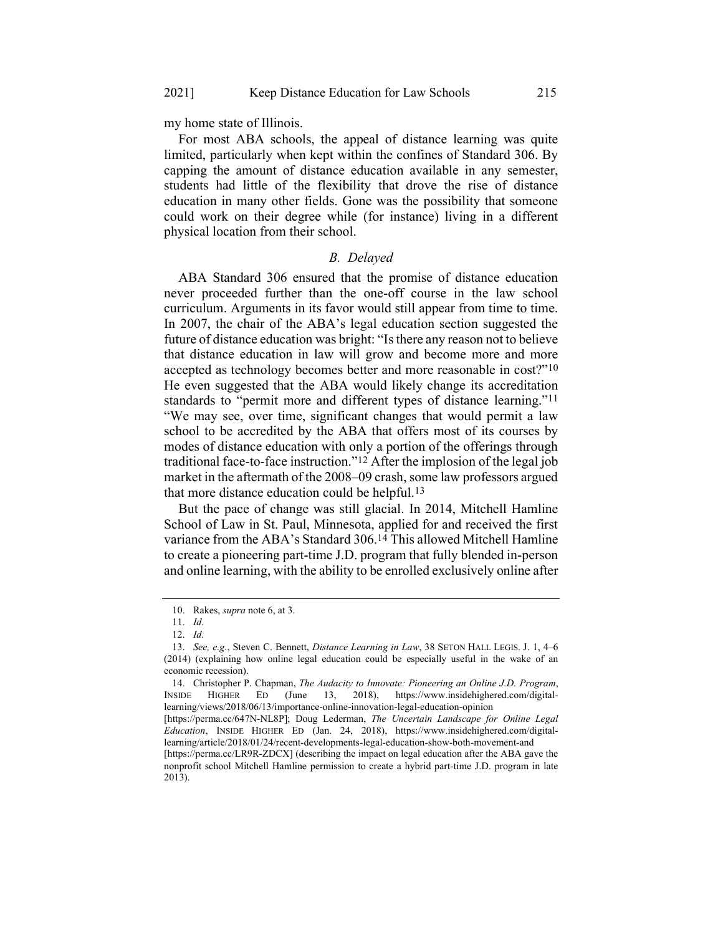my home state of Illinois.

For most ABA schools, the appeal of distance learning was quite limited, particularly when kept within the confines of Standard 306. By capping the amount of distance education available in any semester, students had little of the flexibility that drove the rise of distance education in many other fields. Gone was the possibility that someone could work on their degree while (for instance) living in a different physical location from their school.

#### B. Delayed

ABA Standard 306 ensured that the promise of distance education never proceeded further than the one-off course in the law school curriculum. Arguments in its favor would still appear from time to time. In 2007, the chair of the ABA's legal education section suggested the future of distance education was bright: "Is there any reason not to believe that distance education in law will grow and become more and more accepted as technology becomes better and more reasonable in cost?"10 He even suggested that the ABA would likely change its accreditation standards to "permit more and different types of distance learning."11 "We may see, over time, significant changes that would permit a law school to be accredited by the ABA that offers most of its courses by modes of distance education with only a portion of the offerings through traditional face-to-face instruction."12 After the implosion of the legal job market in the aftermath of the 2008–09 crash, some law professors argued that more distance education could be helpful.13

But the pace of change was still glacial. In 2014, Mitchell Hamline School of Law in St. Paul, Minnesota, applied for and received the first variance from the ABA's Standard 306.14 This allowed Mitchell Hamline to create a pioneering part-time J.D. program that fully blended in-person and online learning, with the ability to be enrolled exclusively online after

[https://perma.cc/LR9R-ZDCX] (describing the impact on legal education after the ABA gave the nonprofit school Mitchell Hamline permission to create a hybrid part-time J.D. program in late 2013).

<sup>10.</sup> Rakes, supra note 6, at 3.

<sup>11.</sup> Id.

<sup>12.</sup> Id.

<sup>13.</sup> See, e.g., Steven C. Bennett, Distance Learning in Law, 38 SETON HALL LEGIS. J. 1, 4–6 (2014) (explaining how online legal education could be especially useful in the wake of an economic recession).

<sup>14.</sup> Christopher P. Chapman, The Audacity to Innovate: Pioneering an Online J.D. Program, INSIDE HIGHER ED (June 13, 2018), https://www.insidehighered.com/digitallearning/views/2018/06/13/importance-online-innovation-legal-education-opinion

<sup>[</sup>https://perma.cc/647N-NL8P]; Doug Lederman, The Uncertain Landscape for Online Legal Education, INSIDE HIGHER ED (Jan. 24, 2018), https://www.insidehighered.com/digitallearning/article/2018/01/24/recent-developments-legal-education-show-both-movement-and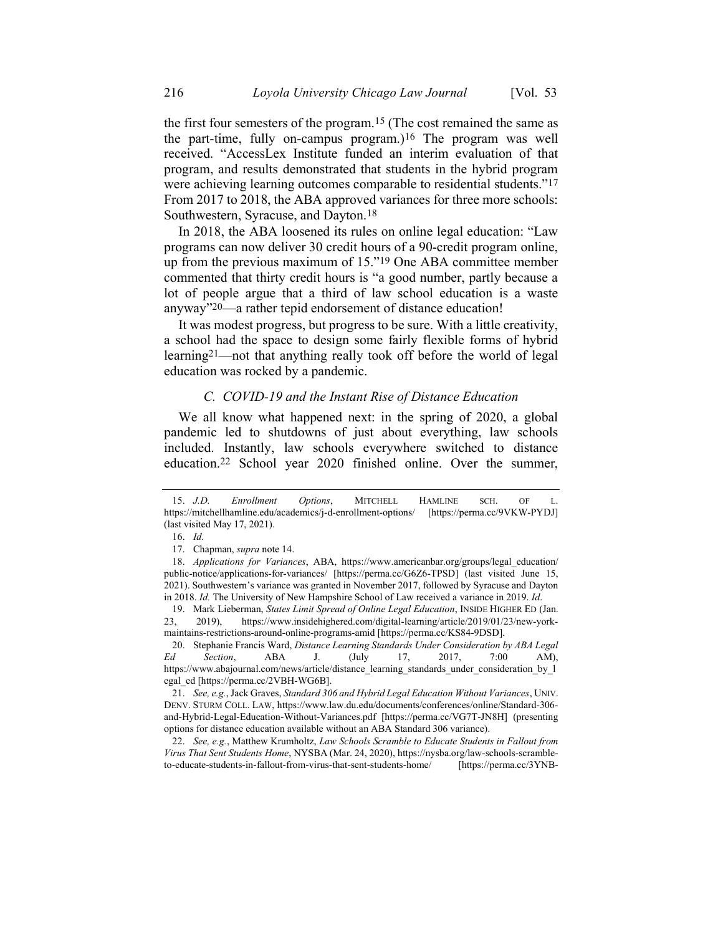the first four semesters of the program.15 (The cost remained the same as the part-time, fully on-campus program.)16 The program was well received. "AccessLex Institute funded an interim evaluation of that program, and results demonstrated that students in the hybrid program were achieving learning outcomes comparable to residential students."<sup>17</sup> From 2017 to 2018, the ABA approved variances for three more schools: Southwestern, Syracuse, and Dayton.18

In 2018, the ABA loosened its rules on online legal education: "Law programs can now deliver 30 credit hours of a 90-credit program online, up from the previous maximum of 15."19 One ABA committee member commented that thirty credit hours is "a good number, partly because a lot of people argue that a third of law school education is a waste anyway"20—a rather tepid endorsement of distance education!

It was modest progress, but progress to be sure. With a little creativity, a school had the space to design some fairly flexible forms of hybrid learning21—not that anything really took off before the world of legal education was rocked by a pandemic.

## C. COVID-19 and the Instant Rise of Distance Education

We all know what happened next: in the spring of 2020, a global pandemic led to shutdowns of just about everything, law schools included. Instantly, law schools everywhere switched to distance education.22 School year 2020 finished online. Over the summer,

19. Mark Lieberman, States Limit Spread of Online Legal Education, INSIDE HIGHER ED (Jan. 23, 2019), https://www.insidehighered.com/digital-learning/article/2019/01/23/new-yorkmaintains-restrictions-around-online-programs-amid [https://perma.cc/KS84-9DSD].

20. Stephanie Francis Ward, Distance Learning Standards Under Consideration by ABA Legal Ed Section, ABA J. (July 17, 2017, 7:00 AM), https://www.abajournal.com/news/article/distance\_learning\_standards\_under\_consideration\_by\_l egal\_ed [https://perma.cc/2VBH-WG6B].

21. See, e.g., Jack Graves, Standard 306 and Hybrid Legal Education Without Variances, UNIV. DENV. STURM COLL. LAW, https://www.law.du.edu/documents/conferences/online/Standard-306 and-Hybrid-Legal-Education-Without-Variances.pdf [https://perma.cc/VG7T-JN8H] (presenting options for distance education available without an ABA Standard 306 variance).

22. See, e.g., Matthew Krumholtz, Law Schools Scramble to Educate Students in Fallout from Virus That Sent Students Home, NYSBA (Mar. 24, 2020), https://nysba.org/law-schools-scrambleto-educate-students-in-fallout-from-virus-that-sent-students-home/ [https://perma.cc/3YNB-

<sup>15.</sup> J.D. Enrollment Options, MITCHELL HAMLINE SCH. OF L. https://mitchellhamline.edu/academics/j-d-enrollment-options/ [https://perma.cc/9VKW-PYDJ] (last visited May 17, 2021).

<sup>16.</sup> Id.

<sup>17.</sup> Chapman, supra note 14.

<sup>18.</sup> Applications for Variances, ABA, https://www.americanbar.org/groups/legal\_education/ public-notice/applications-for-variances/ [https://perma.cc/G6Z6-TPSD] (last visited June 15, 2021). Southwestern's variance was granted in November 2017, followed by Syracuse and Dayton in 2018. Id. The University of New Hampshire School of Law received a variance in 2019. Id.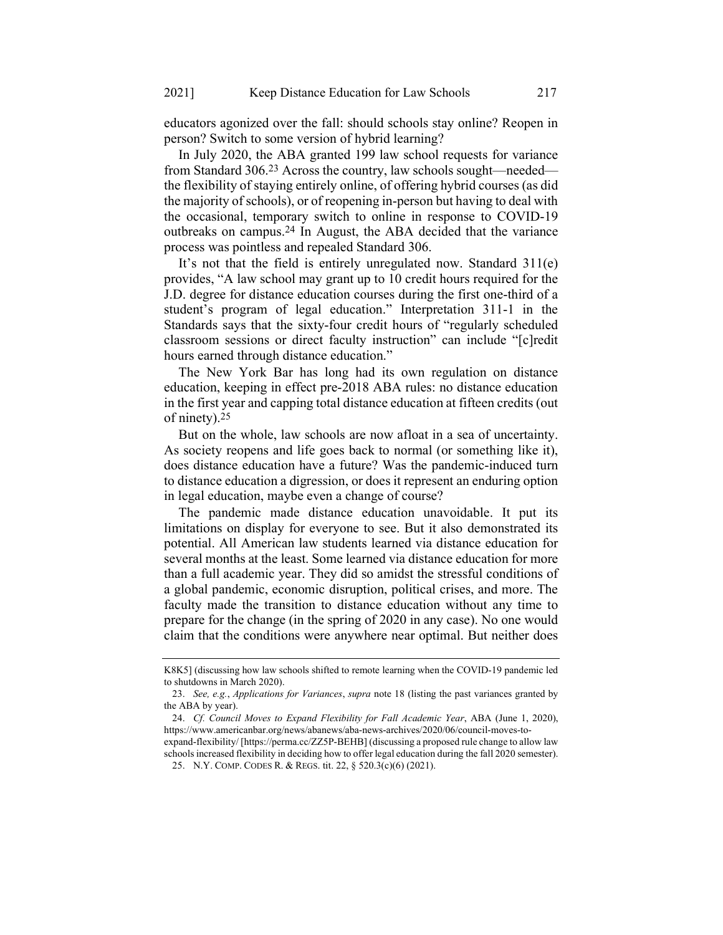educators agonized over the fall: should schools stay online? Reopen in person? Switch to some version of hybrid learning?

In July 2020, the ABA granted 199 law school requests for variance from Standard 306.23 Across the country, law schools sought—needed the flexibility of staying entirely online, of offering hybrid courses (as did the majority of schools), or of reopening in-person but having to deal with the occasional, temporary switch to online in response to COVID-19 outbreaks on campus.24 In August, the ABA decided that the variance process was pointless and repealed Standard 306.

It's not that the field is entirely unregulated now. Standard 311(e) provides, "A law school may grant up to 10 credit hours required for the J.D. degree for distance education courses during the first one-third of a student's program of legal education." Interpretation 311-1 in the Standards says that the sixty-four credit hours of "regularly scheduled classroom sessions or direct faculty instruction" can include "[c]redit hours earned through distance education."

The New York Bar has long had its own regulation on distance education, keeping in effect pre-2018 ABA rules: no distance education in the first year and capping total distance education at fifteen credits (out of ninety).25

But on the whole, law schools are now afloat in a sea of uncertainty. As society reopens and life goes back to normal (or something like it), does distance education have a future? Was the pandemic-induced turn to distance education a digression, or does it represent an enduring option in legal education, maybe even a change of course?

The pandemic made distance education unavoidable. It put its limitations on display for everyone to see. But it also demonstrated its potential. All American law students learned via distance education for several months at the least. Some learned via distance education for more than a full academic year. They did so amidst the stressful conditions of a global pandemic, economic disruption, political crises, and more. The faculty made the transition to distance education without any time to prepare for the change (in the spring of 2020 in any case). No one would claim that the conditions were anywhere near optimal. But neither does

K8K5] (discussing how law schools shifted to remote learning when the COVID-19 pandemic led to shutdowns in March 2020).

<sup>23.</sup> See, e.g., Applications for Variances, supra note 18 (listing the past variances granted by the ABA by year).

<sup>24.</sup> Cf. Council Moves to Expand Flexibility for Fall Academic Year, ABA (June 1, 2020), https://www.americanbar.org/news/abanews/aba-news-archives/2020/06/council-moves-to-

expand-flexibility/ [https://perma.cc/ZZ5P-BEHB] (discussing a proposed rule change to allow law schools increased flexibility in deciding how to offer legal education during the fall 2020 semester). 25. N.Y. COMP. CODES R. & REGS. tit. 22, § 520.3(c)(6) (2021).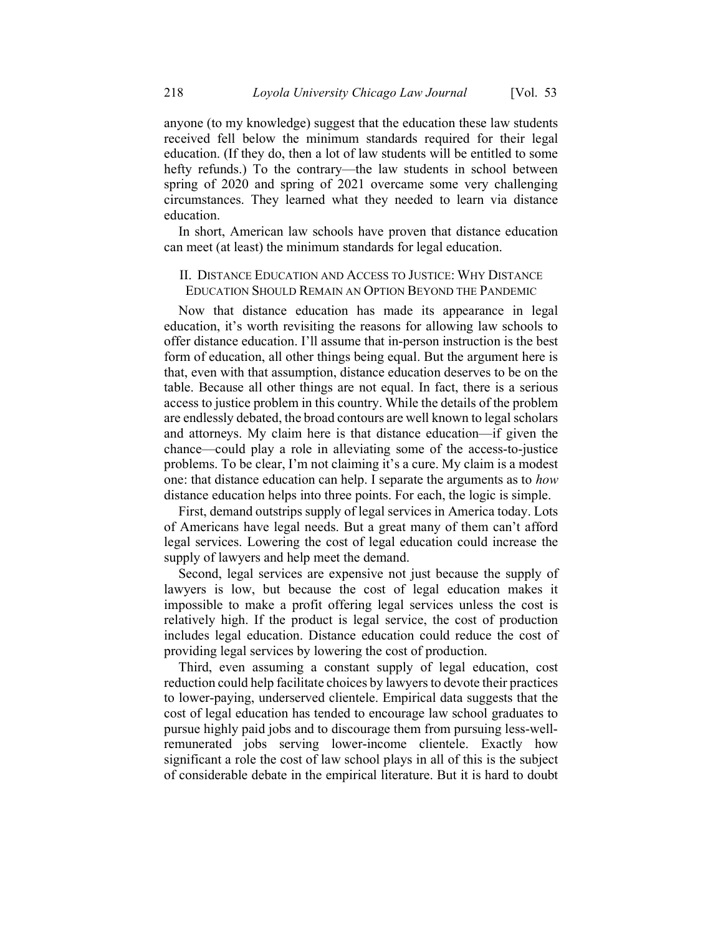anyone (to my knowledge) suggest that the education these law students received fell below the minimum standards required for their legal education. (If they do, then a lot of law students will be entitled to some hefty refunds.) To the contrary—the law students in school between spring of 2020 and spring of 2021 overcame some very challenging circumstances. They learned what they needed to learn via distance education.

In short, American law schools have proven that distance education can meet (at least) the minimum standards for legal education.

## II. DISTANCE EDUCATION AND ACCESS TO JUSTICE: WHY DISTANCE EDUCATION SHOULD REMAIN AN OPTION BEYOND THE PANDEMIC

Now that distance education has made its appearance in legal education, it's worth revisiting the reasons for allowing law schools to offer distance education. I'll assume that in-person instruction is the best form of education, all other things being equal. But the argument here is that, even with that assumption, distance education deserves to be on the table. Because all other things are not equal. In fact, there is a serious access to justice problem in this country. While the details of the problem are endlessly debated, the broad contours are well known to legal scholars and attorneys. My claim here is that distance education—if given the chance—could play a role in alleviating some of the access-to-justice problems. To be clear, I'm not claiming it's a cure. My claim is a modest one: that distance education can help. I separate the arguments as to how distance education helps into three points. For each, the logic is simple.

First, demand outstrips supply of legal services in America today. Lots of Americans have legal needs. But a great many of them can't afford legal services. Lowering the cost of legal education could increase the supply of lawyers and help meet the demand.

Second, legal services are expensive not just because the supply of lawyers is low, but because the cost of legal education makes it impossible to make a profit offering legal services unless the cost is relatively high. If the product is legal service, the cost of production includes legal education. Distance education could reduce the cost of providing legal services by lowering the cost of production.

Third, even assuming a constant supply of legal education, cost reduction could help facilitate choices by lawyers to devote their practices to lower-paying, underserved clientele. Empirical data suggests that the cost of legal education has tended to encourage law school graduates to pursue highly paid jobs and to discourage them from pursuing less-wellremunerated jobs serving lower-income clientele. Exactly how significant a role the cost of law school plays in all of this is the subject of considerable debate in the empirical literature. But it is hard to doubt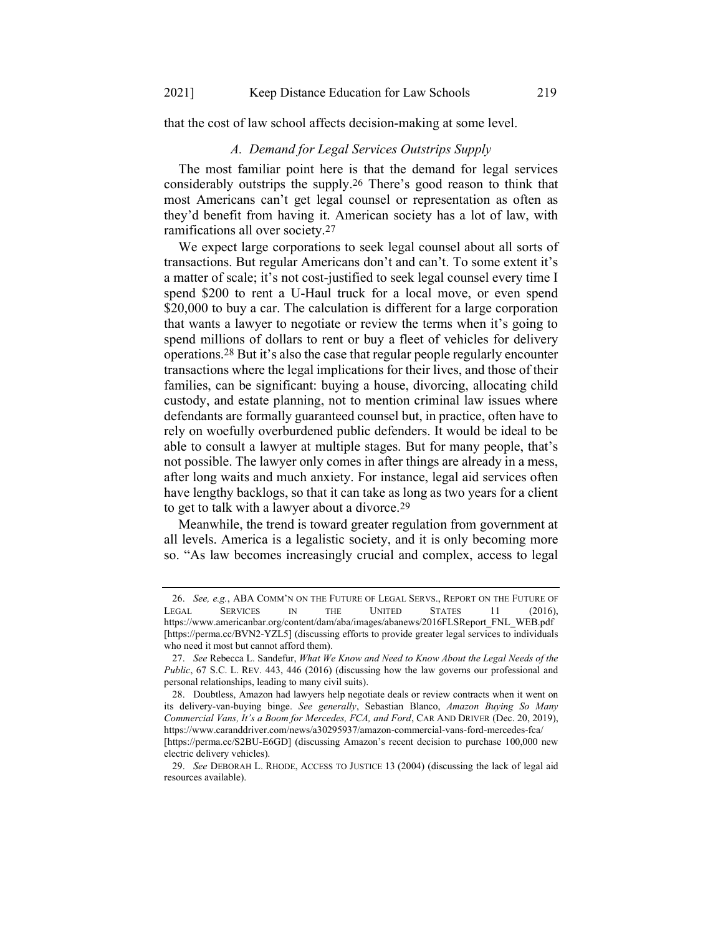that the cost of law school affects decision-making at some level.

#### A. Demand for Legal Services Outstrips Supply

The most familiar point here is that the demand for legal services considerably outstrips the supply.26 There's good reason to think that most Americans can't get legal counsel or representation as often as they'd benefit from having it. American society has a lot of law, with ramifications all over society.27

We expect large corporations to seek legal counsel about all sorts of transactions. But regular Americans don't and can't. To some extent it's a matter of scale; it's not cost-justified to seek legal counsel every time I spend \$200 to rent a U-Haul truck for a local move, or even spend \$20,000 to buy a car. The calculation is different for a large corporation that wants a lawyer to negotiate or review the terms when it's going to spend millions of dollars to rent or buy a fleet of vehicles for delivery operations.28 But it's also the case that regular people regularly encounter transactions where the legal implications for their lives, and those of their families, can be significant: buying a house, divorcing, allocating child custody, and estate planning, not to mention criminal law issues where defendants are formally guaranteed counsel but, in practice, often have to rely on woefully overburdened public defenders. It would be ideal to be able to consult a lawyer at multiple stages. But for many people, that's not possible. The lawyer only comes in after things are already in a mess, after long waits and much anxiety. For instance, legal aid services often have lengthy backlogs, so that it can take as long as two years for a client to get to talk with a lawyer about a divorce.29

Meanwhile, the trend is toward greater regulation from government at all levels. America is a legalistic society, and it is only becoming more so. "As law becomes increasingly crucial and complex, access to legal

<sup>26.</sup> See, e.g., ABA COMM'N ON THE FUTURE OF LEGAL SERVS., REPORT ON THE FUTURE OF LEGAL SERVICES IN THE UNITED STATES 11 (2016), https://www.americanbar.org/content/dam/aba/images/abanews/2016FLSReport\_FNL\_WEB.pdf [https://perma.cc/BVN2-YZL5] (discussing efforts to provide greater legal services to individuals who need it most but cannot afford them).

<sup>27.</sup> See Rebecca L. Sandefur, What We Know and Need to Know About the Legal Needs of the Public, 67 S.C. L. REV. 443, 446 (2016) (discussing how the law governs our professional and personal relationships, leading to many civil suits).

<sup>28.</sup> Doubtless, Amazon had lawyers help negotiate deals or review contracts when it went on its delivery-van-buying binge. See generally, Sebastian Blanco, Amazon Buying So Many Commercial Vans, It's a Boom for Mercedes, FCA, and Ford, CAR AND DRIVER (Dec. 20, 2019), https://www.caranddriver.com/news/a30295937/amazon-commercial-vans-ford-mercedes-fca/

<sup>[</sup>https://perma.cc/S2BU-E6GD] (discussing Amazon's recent decision to purchase 100,000 new electric delivery vehicles).

<sup>29.</sup> See DEBORAH L. RHODE, ACCESS TO JUSTICE 13 (2004) (discussing the lack of legal aid resources available).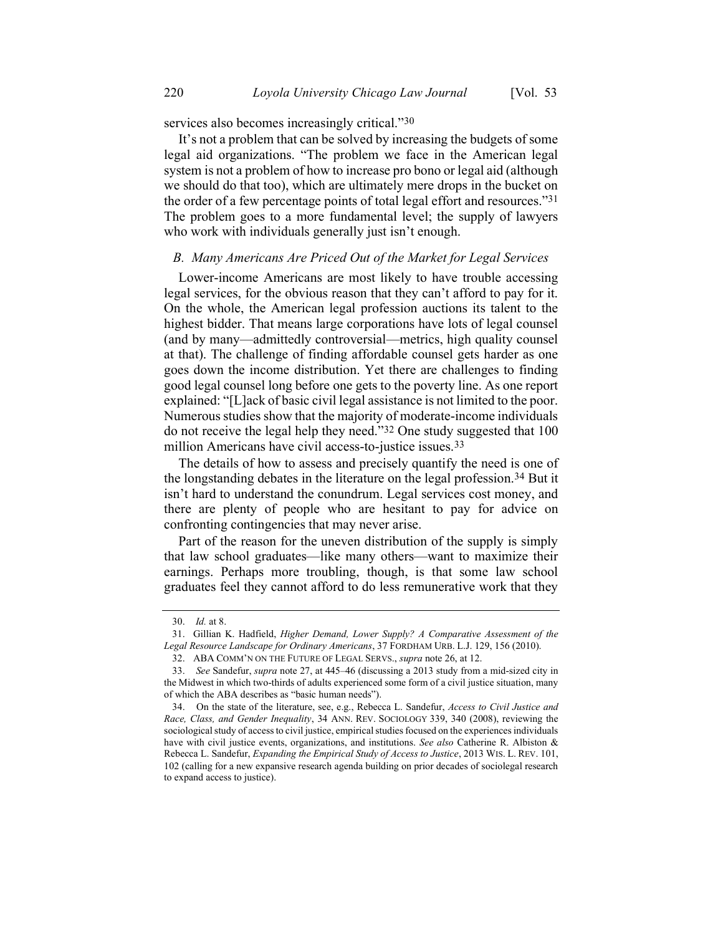services also becomes increasingly critical."30

It's not a problem that can be solved by increasing the budgets of some legal aid organizations. "The problem we face in the American legal system is not a problem of how to increase pro bono or legal aid (although we should do that too), which are ultimately mere drops in the bucket on the order of a few percentage points of total legal effort and resources."31 The problem goes to a more fundamental level; the supply of lawyers who work with individuals generally just isn't enough.

#### B. Many Americans Are Priced Out of the Market for Legal Services

Lower-income Americans are most likely to have trouble accessing legal services, for the obvious reason that they can't afford to pay for it. On the whole, the American legal profession auctions its talent to the highest bidder. That means large corporations have lots of legal counsel (and by many—admittedly controversial—metrics, high quality counsel at that). The challenge of finding affordable counsel gets harder as one goes down the income distribution. Yet there are challenges to finding good legal counsel long before one gets to the poverty line. As one report explained: "[L]ack of basic civil legal assistance is not limited to the poor. Numerous studies show that the majority of moderate-income individuals do not receive the legal help they need."32 One study suggested that 100 million Americans have civil access-to-justice issues.<sup>33</sup>

The details of how to assess and precisely quantify the need is one of the longstanding debates in the literature on the legal profession.34 But it isn't hard to understand the conundrum. Legal services cost money, and there are plenty of people who are hesitant to pay for advice on confronting contingencies that may never arise.

Part of the reason for the uneven distribution of the supply is simply that law school graduates—like many others—want to maximize their earnings. Perhaps more troubling, though, is that some law school graduates feel they cannot afford to do less remunerative work that they

<sup>30.</sup> Id. at 8.

<sup>31.</sup> Gillian K. Hadfield, Higher Demand, Lower Supply? A Comparative Assessment of the Legal Resource Landscape for Ordinary Americans, 37 FORDHAM URB. L.J. 129, 156 (2010).

<sup>32.</sup> ABA COMM'N ON THE FUTURE OF LEGAL SERVS., supra note 26, at 12.

<sup>33.</sup> See Sandefur, supra note 27, at 445–46 (discussing a 2013 study from a mid-sized city in the Midwest in which two-thirds of adults experienced some form of a civil justice situation, many of which the ABA describes as "basic human needs").

<sup>34.</sup> On the state of the literature, see, e.g., Rebecca L. Sandefur, Access to Civil Justice and Race, Class, and Gender Inequality, 34 ANN. REV. SOCIOLOGY 339, 340 (2008), reviewing the sociological study of access to civil justice, empirical studies focused on the experiences individuals have with civil justice events, organizations, and institutions. See also Catherine R. Albiston & Rebecca L. Sandefur, Expanding the Empirical Study of Access to Justice, 2013 WIS. L. REV. 101, 102 (calling for a new expansive research agenda building on prior decades of sociolegal research to expand access to justice).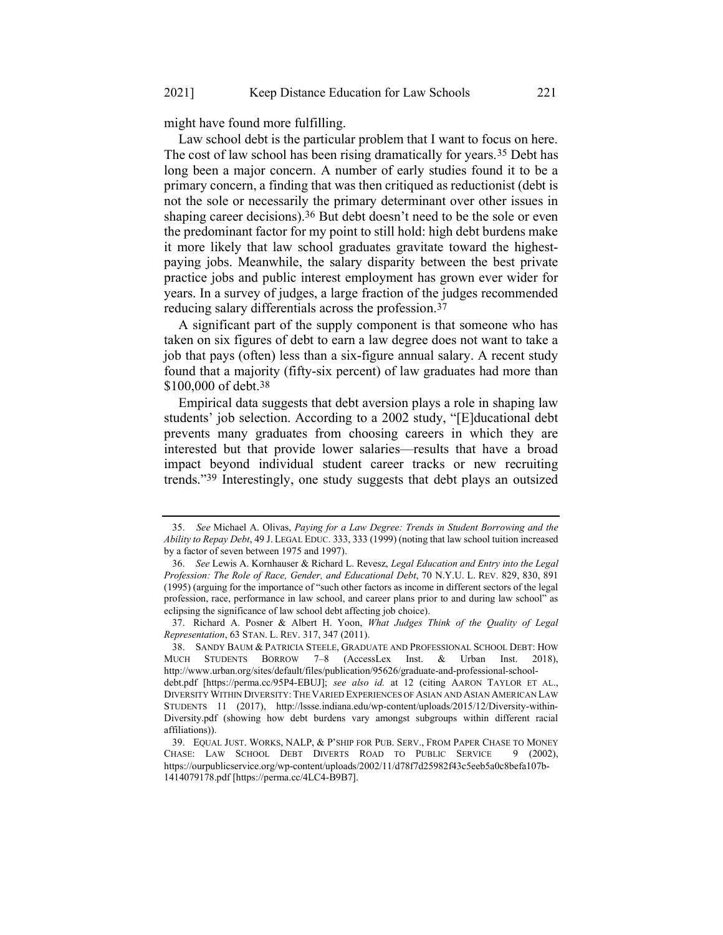might have found more fulfilling.

Law school debt is the particular problem that I want to focus on here. The cost of law school has been rising dramatically for years.35 Debt has long been a major concern. A number of early studies found it to be a primary concern, a finding that was then critiqued as reductionist (debt is not the sole or necessarily the primary determinant over other issues in shaping career decisions).<sup>36</sup> But debt doesn't need to be the sole or even the predominant factor for my point to still hold: high debt burdens make it more likely that law school graduates gravitate toward the highestpaying jobs. Meanwhile, the salary disparity between the best private practice jobs and public interest employment has grown ever wider for years. In a survey of judges, a large fraction of the judges recommended reducing salary differentials across the profession.37

A significant part of the supply component is that someone who has taken on six figures of debt to earn a law degree does not want to take a job that pays (often) less than a six-figure annual salary. A recent study found that a majority (fifty-six percent) of law graduates had more than \$100,000 of debt.<sup>38</sup>

Empirical data suggests that debt aversion plays a role in shaping law students' job selection. According to a 2002 study, "[E]ducational debt prevents many graduates from choosing careers in which they are interested but that provide lower salaries—results that have a broad impact beyond individual student career tracks or new recruiting trends."39 Interestingly, one study suggests that debt plays an outsized

<sup>35.</sup> See Michael A. Olivas, Paying for a Law Degree: Trends in Student Borrowing and the Ability to Repay Debt, 49 J. LEGAL EDUC. 333, 333 (1999) (noting that law school tuition increased by a factor of seven between 1975 and 1997).

<sup>36.</sup> See Lewis A. Kornhauser & Richard L. Revesz, Legal Education and Entry into the Legal Profession: The Role of Race, Gender, and Educational Debt, 70 N.Y.U. L. REV. 829, 830, 891 (1995) (arguing for the importance of "such other factors as income in different sectors of the legal profession, race, performance in law school, and career plans prior to and during law school" as eclipsing the significance of law school debt affecting job choice).

<sup>37.</sup> Richard A. Posner & Albert H. Yoon, What Judges Think of the Quality of Legal Representation, 63 STAN. L. REV. 317, 347 (2011).

<sup>38.</sup> SANDY BAUM & PATRICIA STEELE, GRADUATE AND PROFESSIONAL SCHOOL DEBT: HOW MUCH STUDENTS BORROW 7–8 (AccessLex Inst. & Urban Inst. 2018), http://www.urban.org/sites/default/files/publication/95626/graduate-and-professional-schooldebt.pdf [https://perma.cc/95P4-EBUJ]; see also id. at 12 (citing AARON TAYLOR ET AL., DIVERSITY WITHIN DIVERSITY: THE VARIED EXPERIENCES OF ASIAN AND ASIAN AMERICAN LAW STUDENTS 11 (2017), http://lssse.indiana.edu/wp-content/uploads/2015/12/Diversity-within-

Diversity.pdf (showing how debt burdens vary amongst subgroups within different racial affiliations)).

<sup>39.</sup> EQUAL JUST. WORKS, NALP, & P'SHIP FOR PUB. SERV., FROM PAPER CHASE TO MONEY<br>HASE: LAW SCHOOL DEBT DIVERTS ROAD TO PUBLIC SERVICE 9 (2002). CHASE: LAW SCHOOL DEBT DIVERTS ROAD TO PUBLIC SERVICE https://ourpublicservice.org/wp-content/uploads/2002/11/d78f7d25982f43c5eeb5a0c8befa107b-1414079178.pdf [https://perma.cc/4LC4-B9B7].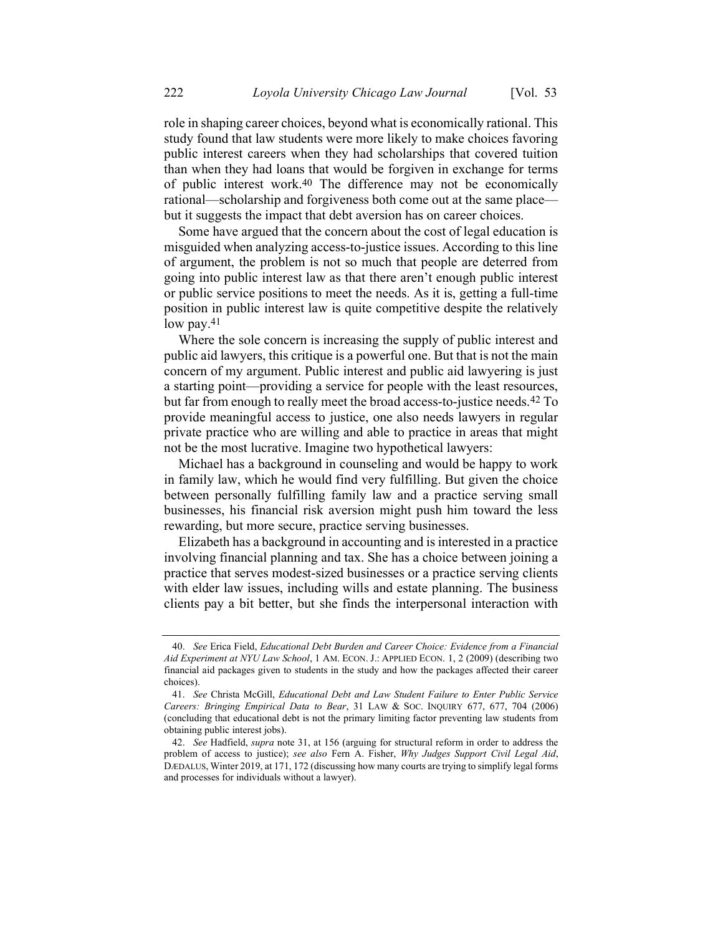role in shaping career choices, beyond what is economically rational. This study found that law students were more likely to make choices favoring public interest careers when they had scholarships that covered tuition than when they had loans that would be forgiven in exchange for terms of public interest work.40 The difference may not be economically rational—scholarship and forgiveness both come out at the same place but it suggests the impact that debt aversion has on career choices.

Some have argued that the concern about the cost of legal education is misguided when analyzing access-to-justice issues. According to this line of argument, the problem is not so much that people are deterred from going into public interest law as that there aren't enough public interest or public service positions to meet the needs. As it is, getting a full-time position in public interest law is quite competitive despite the relatively low pay.41

Where the sole concern is increasing the supply of public interest and public aid lawyers, this critique is a powerful one. But that is not the main concern of my argument. Public interest and public aid lawyering is just a starting point—providing a service for people with the least resources, but far from enough to really meet the broad access-to-justice needs.42 To provide meaningful access to justice, one also needs lawyers in regular private practice who are willing and able to practice in areas that might not be the most lucrative. Imagine two hypothetical lawyers:

Michael has a background in counseling and would be happy to work in family law, which he would find very fulfilling. But given the choice between personally fulfilling family law and a practice serving small businesses, his financial risk aversion might push him toward the less rewarding, but more secure, practice serving businesses.

Elizabeth has a background in accounting and is interested in a practice involving financial planning and tax. She has a choice between joining a practice that serves modest-sized businesses or a practice serving clients with elder law issues, including wills and estate planning. The business clients pay a bit better, but she finds the interpersonal interaction with

<sup>40.</sup> See Erica Field, Educational Debt Burden and Career Choice: Evidence from a Financial Aid Experiment at NYU Law School, 1 AM. ECON. J.: APPLIED ECON. 1, 2 (2009) (describing two financial aid packages given to students in the study and how the packages affected their career choices).

<sup>41.</sup> See Christa McGill, Educational Debt and Law Student Failure to Enter Public Service Careers: Bringing Empirical Data to Bear, 31 LAW & SOC. INQUIRY 677, 677, 704 (2006) (concluding that educational debt is not the primary limiting factor preventing law students from obtaining public interest jobs).

<sup>42.</sup> See Hadfield, supra note 31, at 156 (arguing for structural reform in order to address the problem of access to justice); see also Fern A. Fisher, Why Judges Support Civil Legal Aid, DÆDALUS, Winter 2019, at 171, 172 (discussing how many courts are trying to simplify legal forms and processes for individuals without a lawyer).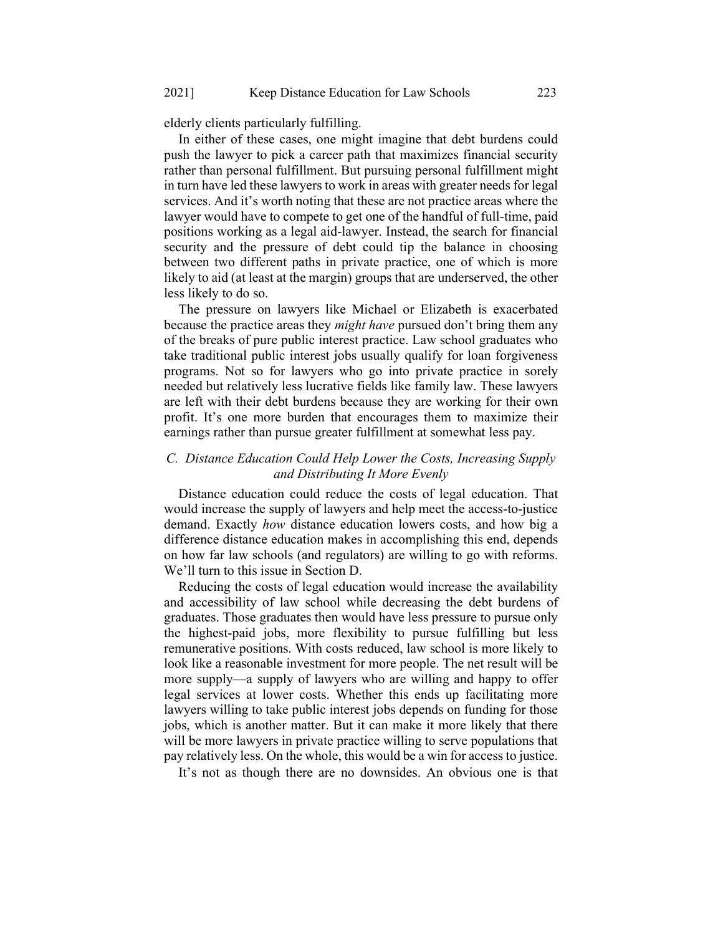elderly clients particularly fulfilling.

In either of these cases, one might imagine that debt burdens could push the lawyer to pick a career path that maximizes financial security rather than personal fulfillment. But pursuing personal fulfillment might in turn have led these lawyers to work in areas with greater needs for legal services. And it's worth noting that these are not practice areas where the lawyer would have to compete to get one of the handful of full-time, paid positions working as a legal aid-lawyer. Instead, the search for financial security and the pressure of debt could tip the balance in choosing between two different paths in private practice, one of which is more likely to aid (at least at the margin) groups that are underserved, the other less likely to do so.

The pressure on lawyers like Michael or Elizabeth is exacerbated because the practice areas they *might have* pursued don't bring them any of the breaks of pure public interest practice. Law school graduates who take traditional public interest jobs usually qualify for loan forgiveness programs. Not so for lawyers who go into private practice in sorely needed but relatively less lucrative fields like family law. These lawyers are left with their debt burdens because they are working for their own profit. It's one more burden that encourages them to maximize their earnings rather than pursue greater fulfillment at somewhat less pay.

#### C. Distance Education Could Help Lower the Costs, Increasing Supply and Distributing It More Evenly

Distance education could reduce the costs of legal education. That would increase the supply of lawyers and help meet the access-to-justice demand. Exactly how distance education lowers costs, and how big a difference distance education makes in accomplishing this end, depends on how far law schools (and regulators) are willing to go with reforms. We'll turn to this issue in Section D.

Reducing the costs of legal education would increase the availability and accessibility of law school while decreasing the debt burdens of graduates. Those graduates then would have less pressure to pursue only the highest-paid jobs, more flexibility to pursue fulfilling but less remunerative positions. With costs reduced, law school is more likely to look like a reasonable investment for more people. The net result will be more supply—a supply of lawyers who are willing and happy to offer legal services at lower costs. Whether this ends up facilitating more lawyers willing to take public interest jobs depends on funding for those jobs, which is another matter. But it can make it more likely that there will be more lawyers in private practice willing to serve populations that pay relatively less. On the whole, this would be a win for access to justice.

It's not as though there are no downsides. An obvious one is that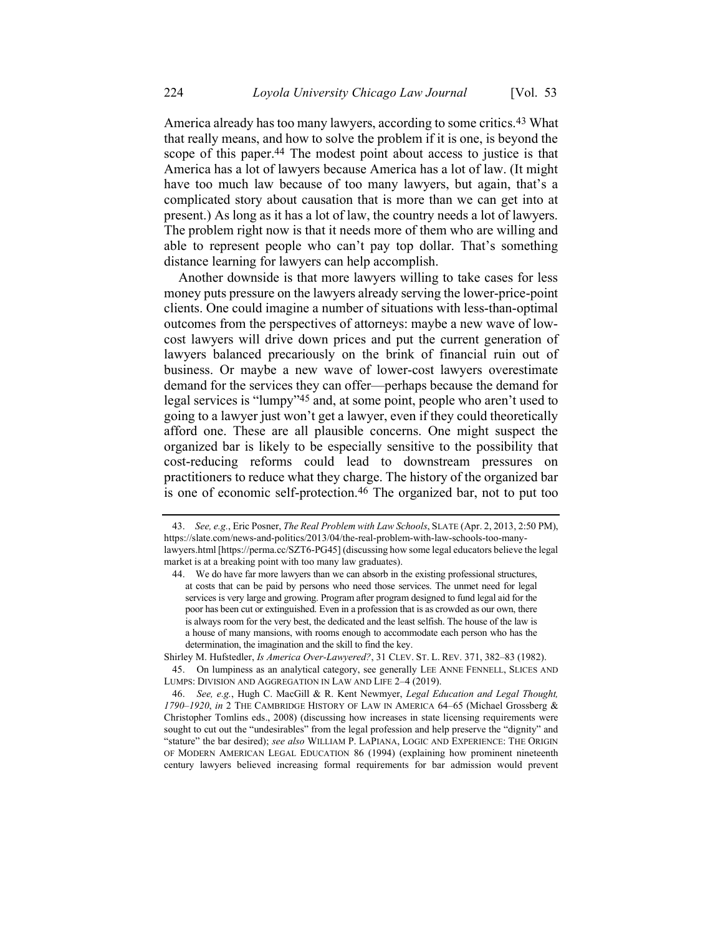America already has too many lawyers, according to some critics.<sup>43</sup> What that really means, and how to solve the problem if it is one, is beyond the scope of this paper.<sup>44</sup> The modest point about access to justice is that America has a lot of lawyers because America has a lot of law. (It might have too much law because of too many lawyers, but again, that's a complicated story about causation that is more than we can get into at present.) As long as it has a lot of law, the country needs a lot of lawyers. The problem right now is that it needs more of them who are willing and able to represent people who can't pay top dollar. That's something distance learning for lawyers can help accomplish.

Another downside is that more lawyers willing to take cases for less money puts pressure on the lawyers already serving the lower-price-point clients. One could imagine a number of situations with less-than-optimal outcomes from the perspectives of attorneys: maybe a new wave of lowcost lawyers will drive down prices and put the current generation of lawyers balanced precariously on the brink of financial ruin out of business. Or maybe a new wave of lower-cost lawyers overestimate demand for the services they can offer—perhaps because the demand for legal services is "lumpy"45 and, at some point, people who aren't used to going to a lawyer just won't get a lawyer, even if they could theoretically afford one. These are all plausible concerns. One might suspect the organized bar is likely to be especially sensitive to the possibility that cost-reducing reforms could lead to downstream pressures on practitioners to reduce what they charge. The history of the organized bar is one of economic self-protection.<sup>46</sup> The organized bar, not to put too

<sup>43.</sup> See, e.g., Eric Posner, The Real Problem with Law Schools, SLATE (Apr. 2, 2013, 2:50 PM), https://slate.com/news-and-politics/2013/04/the-real-problem-with-law-schools-too-manylawyers.html [https://perma.cc/SZT6-PG45] (discussing how some legal educators believe the legal market is at a breaking point with too many law graduates).

<sup>44.</sup> We do have far more lawyers than we can absorb in the existing professional structures, at costs that can be paid by persons who need those services. The unmet need for legal services is very large and growing. Program after program designed to fund legal aid for the poor has been cut or extinguished. Even in a profession that is as crowded as our own, there is always room for the very best, the dedicated and the least selfish. The house of the law is a house of many mansions, with rooms enough to accommodate each person who has the determination, the imagination and the skill to find the key.

Shirley M. Hufstedler, Is America Over-Lawyered?, 31 CLEV. ST. L. REV. 371, 382–83 (1982).

<sup>45.</sup> On lumpiness as an analytical category, see generally LEE ANNE FENNELL, SLICES AND LUMPS: DIVISION AND AGGREGATION IN LAW AND LIFE 2–4 (2019).

<sup>46.</sup> See, e.g., Hugh C. MacGill & R. Kent Newmyer, Legal Education and Legal Thought, 1790–1920, in 2 THE CAMBRIDGE HISTORY OF LAW IN AMERICA 64–65 (Michael Grossberg & Christopher Tomlins eds., 2008) (discussing how increases in state licensing requirements were sought to cut out the "undesirables" from the legal profession and help preserve the "dignity" and "stature" the bar desired); see also WILLIAM P. LAPIANA, LOGIC AND EXPERIENCE: THE ORIGIN OF MODERN AMERICAN LEGAL EDUCATION 86 (1994) (explaining how prominent nineteenth century lawyers believed increasing formal requirements for bar admission would prevent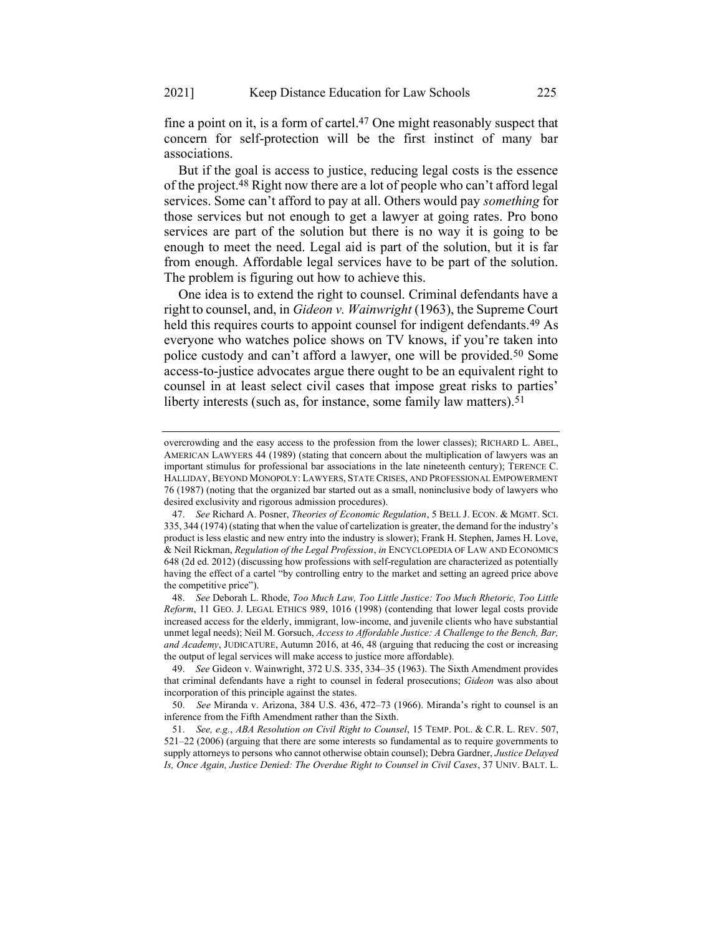fine a point on it, is a form of cartel.47 One might reasonably suspect that concern for self-protection will be the first instinct of many bar associations.

But if the goal is access to justice, reducing legal costs is the essence of the project.48 Right now there are a lot of people who can't afford legal services. Some can't afford to pay at all. Others would pay something for those services but not enough to get a lawyer at going rates. Pro bono services are part of the solution but there is no way it is going to be enough to meet the need. Legal aid is part of the solution, but it is far from enough. Affordable legal services have to be part of the solution. The problem is figuring out how to achieve this.

One idea is to extend the right to counsel. Criminal defendants have a right to counsel, and, in Gideon v. Wainwright (1963), the Supreme Court held this requires courts to appoint counsel for indigent defendants.<sup>49</sup> As everyone who watches police shows on TV knows, if you're taken into police custody and can't afford a lawyer, one will be provided.50 Some access-to-justice advocates argue there ought to be an equivalent right to counsel in at least select civil cases that impose great risks to parties' liberty interests (such as, for instance, some family law matters).<sup>51</sup>

overcrowding and the easy access to the profession from the lower classes); RICHARD L. ABEL, AMERICAN LAWYERS 44 (1989) (stating that concern about the multiplication of lawyers was an important stimulus for professional bar associations in the late nineteenth century); TERENCE C. HALLIDAY, BEYOND MONOPOLY: LAWYERS, STATE CRISES, AND PROFESSIONAL EMPOWERMENT 76 (1987) (noting that the organized bar started out as a small, noninclusive body of lawyers who desired exclusivity and rigorous admission procedures).

<sup>47.</sup> See Richard A. Posner, Theories of Economic Regulation, 5 BELL J. ECON. & MGMT. SCI. 335, 344 (1974) (stating that when the value of cartelization is greater, the demand for the industry's product is less elastic and new entry into the industry is slower); Frank H. Stephen, James H. Love, & Neil Rickman, Regulation of the Legal Profession, in ENCYCLOPEDIA OF LAW AND ECONOMICS 648 (2d ed. 2012) (discussing how professions with self-regulation are characterized as potentially having the effect of a cartel "by controlling entry to the market and setting an agreed price above the competitive price").

<sup>48.</sup> See Deborah L. Rhode, Too Much Law, Too Little Justice: Too Much Rhetoric, Too Little Reform, 11 GEO. J. LEGAL ETHICS 989, 1016 (1998) (contending that lower legal costs provide increased access for the elderly, immigrant, low-income, and juvenile clients who have substantial unmet legal needs); Neil M. Gorsuch, Access to Affordable Justice: A Challenge to the Bench, Bar, and Academy, JUDICATURE, Autumn 2016, at 46, 48 (arguing that reducing the cost or increasing the output of legal services will make access to justice more affordable).

<sup>49.</sup> See Gideon v. Wainwright, 372 U.S. 335, 334–35 (1963). The Sixth Amendment provides that criminal defendants have a right to counsel in federal prosecutions; Gideon was also about incorporation of this principle against the states.

<sup>50.</sup> See Miranda v. Arizona, 384 U.S. 436, 472–73 (1966). Miranda's right to counsel is an inference from the Fifth Amendment rather than the Sixth.

<sup>51.</sup> See, e.g., ABA Resolution on Civil Right to Counsel, 15 TEMP. POL. & C.R. L. REV. 507, 521–22 (2006) (arguing that there are some interests so fundamental as to require governments to supply attorneys to persons who cannot otherwise obtain counsel); Debra Gardner, Justice Delayed Is, Once Again, Justice Denied: The Overdue Right to Counsel in Civil Cases, 37 UNIV. BALT. L.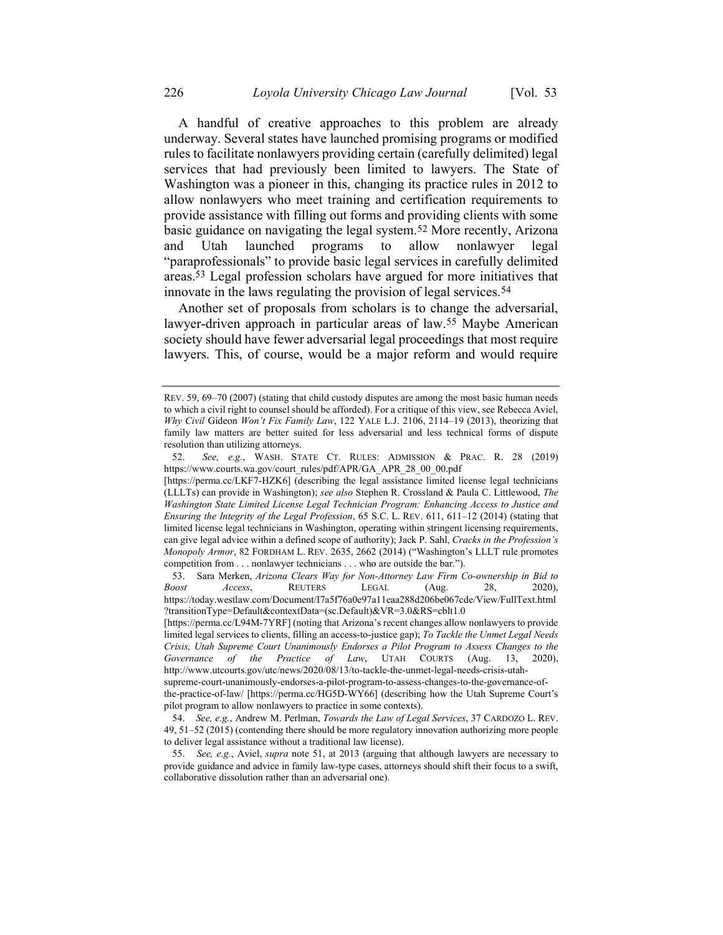A handful of creative approaches to this problem are already underway. Several states have launched promising programs or modified rules to facilitate nonlawyers providing certain (carefully delimited) legal services that had previously been limited to lawyers. The State of Washington was a pioneer in this, changing its practice rules in 2012 to allow nonlawyers who meet training and certification requirements to provide assistance with filling out forms and providing clients with some basic guidance on navigating the legal system.52 More recently, Arizona and Utah launched programs to allow nonlawyer legal "paraprofessionals" to provide basic legal services in carefully delimited areas.53 Legal profession scholars have argued for more initiatives that innovate in the laws regulating the provision of legal services.54

Another set of proposals from scholars is to change the adversarial, lawyer-driven approach in particular areas of law.55 Maybe American society should have fewer adversarial legal proceedings that most require lawyers. This, of course, would be a major reform and would require

REV. 59, 69–70 (2007) (stating that child custody disputes are among the most basic human needs to which a civil right to counsel should be afforded). For a critique of this view, see Rebecca Aviel, Why Civil Gideon Won't Fix Family Law, 122 YALE L.J. 2106, 2114–19 (2013), theorizing that family law matters are better suited for less adversarial and less technical forms of dispute resolution than utilizing attorneys.

<sup>52.</sup> See, e.g., WASH. STATE CT. RULES: ADMISSION & PRAC. R. 28 (2019) https://www.courts.wa.gov/court\_rules/pdf/APR/GA\_APR\_28\_00\_00.pdf

<sup>[</sup>https://perma.cc/LKF7-HZK6] (describing the legal assistance limited license legal technicians (LLLTs) can provide in Washington); see also Stephen R. Crossland & Paula C. Littlewood, The Washington State Limited License Legal Technician Program: Enhancing Access to Justice and Ensuring the Integrity of the Legal Profession, 65 S.C. L. REV. 611, 611–12 (2014) (stating that limited license legal technicians in Washington, operating within stringent licensing requirements, can give legal advice within a defined scope of authority); Jack P. Sahl, Cracks in the Profession's Monopoly Armor, 82 FORDHAM L. REV. 2635, 2662 (2014) ("Washington's LLLT rule promotes competition from . . . nonlawyer technicians . . . who are outside the bar.").

<sup>53.</sup> Sara Merken, Arizona Clears Way for Non-Attorney Law Firm Co-ownership in Bid to oost decess. REUTERS LEGAL (Aug. 28. 2020). Boost Access, REUTERS LEGAL (Aug. 28, 2020), https://today.westlaw.com/Document/I7a5f76a0e97a11eaa288d206be067cde/View/FullText.html ?transitionType=Default&contextData=(sc.Default)&VR=3.0&RS=cblt1.0

<sup>[</sup>https://perma.cc/L94M-7YRF] (noting that Arizona's recent changes allow nonlawyers to provide limited legal services to clients, filling an access-to-justice gap); To Tackle the Unmet Legal Needs Crisis, Utah Supreme Court Unanimously Endorses a Pilot Program to Assess Changes to the Governance of the Practice of Law, UTAH COURTS (Aug. 13, 2020), http://www.utcourts.gov/utc/news/2020/08/13/to-tackle-the-unmet-legal-needs-crisis-utah-

supreme-court-unanimously-endorses-a-pilot-program-to-assess-changes-to-the-governance-of-

the-practice-of-law/ [https://perma.cc/HG5D-WY66] (describing how the Utah Supreme Court's pilot program to allow nonlawyers to practice in some contexts).

<sup>54.</sup> See, e.g., Andrew M. Perlman, Towards the Law of Legal Services, 37 CARDOZO L. REV. 49, 51–52 (2015) (contending there should be more regulatory innovation authorizing more people to deliver legal assistance without a traditional law license).

<sup>55.</sup> See, e.g., Aviel, *supra* note 51, at 2013 (arguing that although lawyers are necessary to provide guidance and advice in family law-type cases, attorneys should shift their focus to a swift, collaborative dissolution rather than an adversarial one).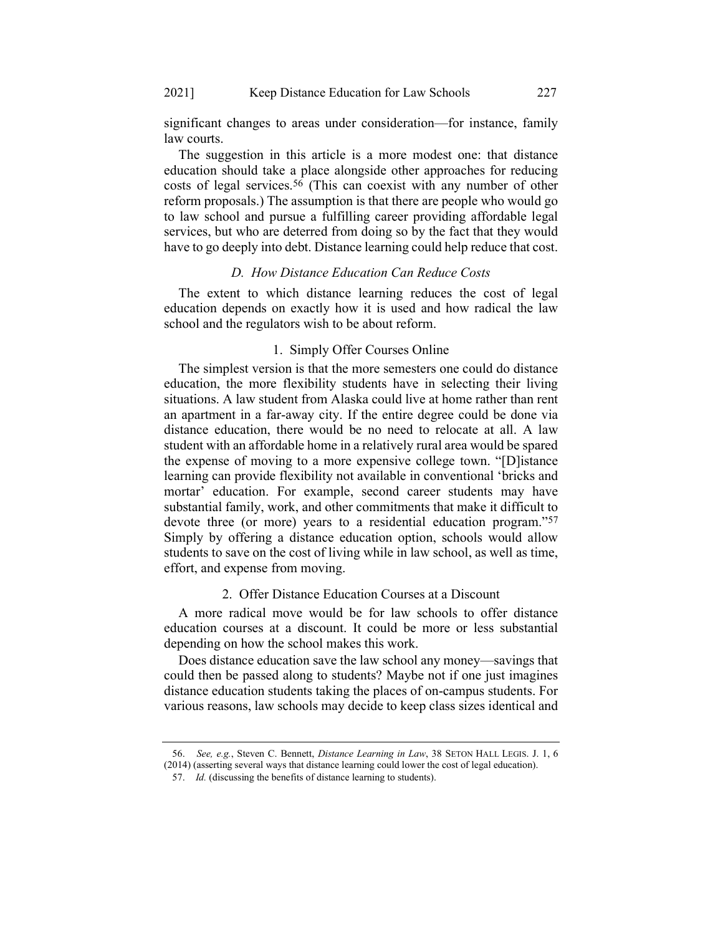significant changes to areas under consideration—for instance, family law courts.

The suggestion in this article is a more modest one: that distance education should take a place alongside other approaches for reducing costs of legal services.56 (This can coexist with any number of other reform proposals.) The assumption is that there are people who would go to law school and pursue a fulfilling career providing affordable legal services, but who are deterred from doing so by the fact that they would have to go deeply into debt. Distance learning could help reduce that cost.

#### D. How Distance Education Can Reduce Costs

The extent to which distance learning reduces the cost of legal education depends on exactly how it is used and how radical the law school and the regulators wish to be about reform.

#### 1. Simply Offer Courses Online

The simplest version is that the more semesters one could do distance education, the more flexibility students have in selecting their living situations. A law student from Alaska could live at home rather than rent an apartment in a far-away city. If the entire degree could be done via distance education, there would be no need to relocate at all. A law student with an affordable home in a relatively rural area would be spared the expense of moving to a more expensive college town. "[D]istance learning can provide flexibility not available in conventional 'bricks and mortar' education. For example, second career students may have substantial family, work, and other commitments that make it difficult to devote three (or more) years to a residential education program."57 Simply by offering a distance education option, schools would allow students to save on the cost of living while in law school, as well as time, effort, and expense from moving.

#### 2. Offer Distance Education Courses at a Discount

A more radical move would be for law schools to offer distance education courses at a discount. It could be more or less substantial depending on how the school makes this work.

Does distance education save the law school any money—savings that could then be passed along to students? Maybe not if one just imagines distance education students taking the places of on-campus students. For various reasons, law schools may decide to keep class sizes identical and

See, e.g., Steven C. Bennett, Distance Learning in Law, 38 SETON HALL LEGIS. J. 1, 6 (2014) (asserting several ways that distance learning could lower the cost of legal education).

<sup>57.</sup> Id. (discussing the benefits of distance learning to students).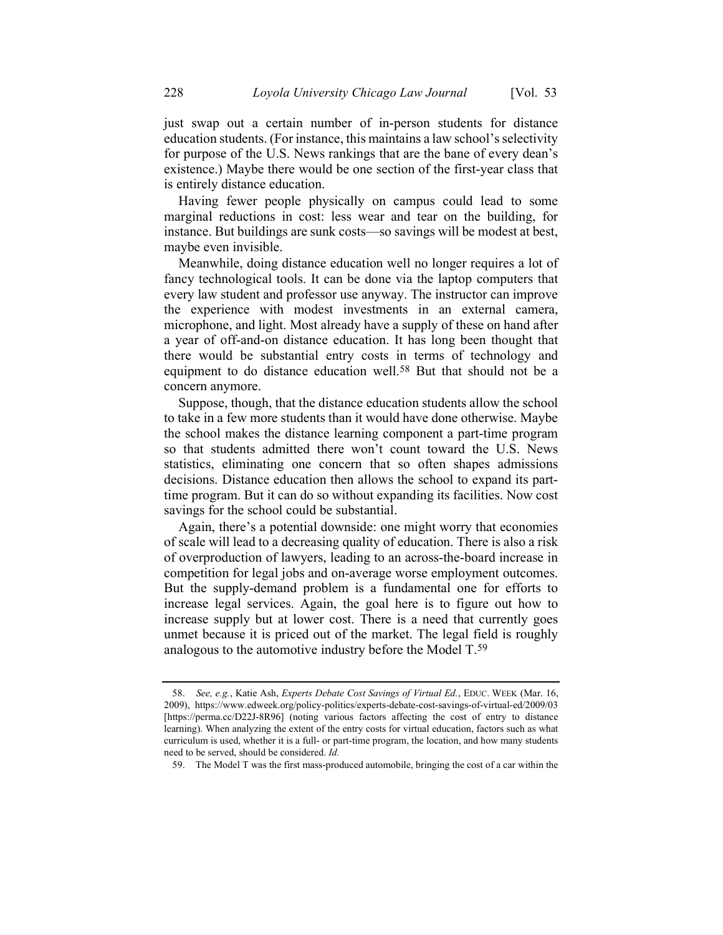just swap out a certain number of in-person students for distance education students. (For instance, this maintains a law school's selectivity for purpose of the U.S. News rankings that are the bane of every dean's existence.) Maybe there would be one section of the first-year class that is entirely distance education.

Having fewer people physically on campus could lead to some marginal reductions in cost: less wear and tear on the building, for instance. But buildings are sunk costs—so savings will be modest at best, maybe even invisible.

Meanwhile, doing distance education well no longer requires a lot of fancy technological tools. It can be done via the laptop computers that every law student and professor use anyway. The instructor can improve the experience with modest investments in an external camera, microphone, and light. Most already have a supply of these on hand after a year of off-and-on distance education. It has long been thought that there would be substantial entry costs in terms of technology and equipment to do distance education well.58 But that should not be a concern anymore.

Suppose, though, that the distance education students allow the school to take in a few more students than it would have done otherwise. Maybe the school makes the distance learning component a part-time program so that students admitted there won't count toward the U.S. News statistics, eliminating one concern that so often shapes admissions decisions. Distance education then allows the school to expand its parttime program. But it can do so without expanding its facilities. Now cost savings for the school could be substantial.

Again, there's a potential downside: one might worry that economies of scale will lead to a decreasing quality of education. There is also a risk of overproduction of lawyers, leading to an across-the-board increase in competition for legal jobs and on-average worse employment outcomes. But the supply-demand problem is a fundamental one for efforts to increase legal services. Again, the goal here is to figure out how to increase supply but at lower cost. There is a need that currently goes unmet because it is priced out of the market. The legal field is roughly analogous to the automotive industry before the Model T.59

<sup>58.</sup> See, e.g., Katie Ash, Experts Debate Cost Savings of Virtual Ed., EDUC. WEEK (Mar. 16, 2009), https://www.edweek.org/policy-politics/experts-debate-cost-savings-of-virtual-ed/2009/03 [https://perma.cc/D22J-8R96] (noting various factors affecting the cost of entry to distance learning). When analyzing the extent of the entry costs for virtual education, factors such as what curriculum is used, whether it is a full- or part-time program, the location, and how many students need to be served, should be considered. Id.

<sup>59.</sup> The Model T was the first mass-produced automobile, bringing the cost of a car within the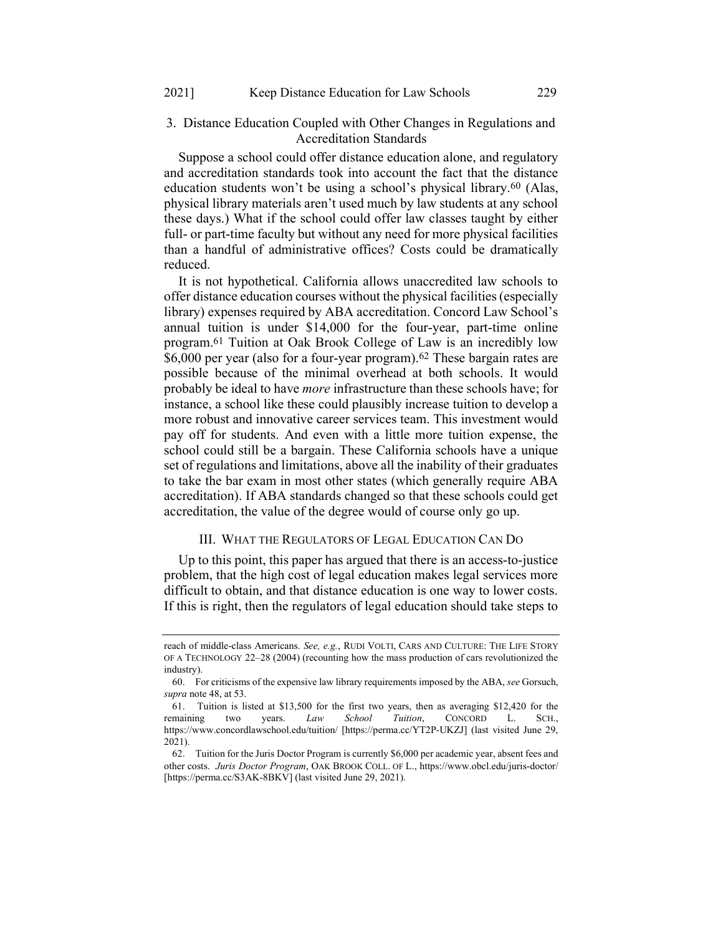## 3. Distance Education Coupled with Other Changes in Regulations and Accreditation Standards

Suppose a school could offer distance education alone, and regulatory and accreditation standards took into account the fact that the distance education students won't be using a school's physical library.60 (Alas, physical library materials aren't used much by law students at any school these days.) What if the school could offer law classes taught by either full- or part-time faculty but without any need for more physical facilities than a handful of administrative offices? Costs could be dramatically reduced.

It is not hypothetical. California allows unaccredited law schools to offer distance education courses without the physical facilities (especially library) expenses required by ABA accreditation. Concord Law School's annual tuition is under \$14,000 for the four-year, part-time online program.61 Tuition at Oak Brook College of Law is an incredibly low \$6,000 per year (also for a four-year program).62 These bargain rates are possible because of the minimal overhead at both schools. It would probably be ideal to have *more* infrastructure than these schools have; for instance, a school like these could plausibly increase tuition to develop a more robust and innovative career services team. This investment would pay off for students. And even with a little more tuition expense, the school could still be a bargain. These California schools have a unique set of regulations and limitations, above all the inability of their graduates to take the bar exam in most other states (which generally require ABA accreditation). If ABA standards changed so that these schools could get accreditation, the value of the degree would of course only go up.

#### III. WHAT THE REGULATORS OF LEGAL EDUCATION CAN DO

Up to this point, this paper has argued that there is an access-to-justice problem, that the high cost of legal education makes legal services more difficult to obtain, and that distance education is one way to lower costs. If this is right, then the regulators of legal education should take steps to

reach of middle-class Americans. See, e.g., RUDI VOLTI, CARS AND CULTURE: THE LIFE STORY OF A TECHNOLOGY 22–28 (2004) (recounting how the mass production of cars revolutionized the industry).

<sup>60.</sup> For criticisms of the expensive law library requirements imposed by the ABA, see Gorsuch, supra note 48, at 53.

<sup>61.</sup> Tuition is listed at \$13,500 for the first two years, then as averaging \$12,420 for the remaining two years. Law School Tuition, CONCORD L. SCH., https://www.concordlawschool.edu/tuition/ [https://perma.cc/YT2P-UKZJ] (last visited June 29, 2021).

<sup>62.</sup> Tuition for the Juris Doctor Program is currently \$6,000 per academic year, absent fees and other costs. Juris Doctor Program, OAK BROOK COLL. OF L., https://www.obcl.edu/juris-doctor/ [https://perma.cc/S3AK-8BKV] (last visited June 29, 2021).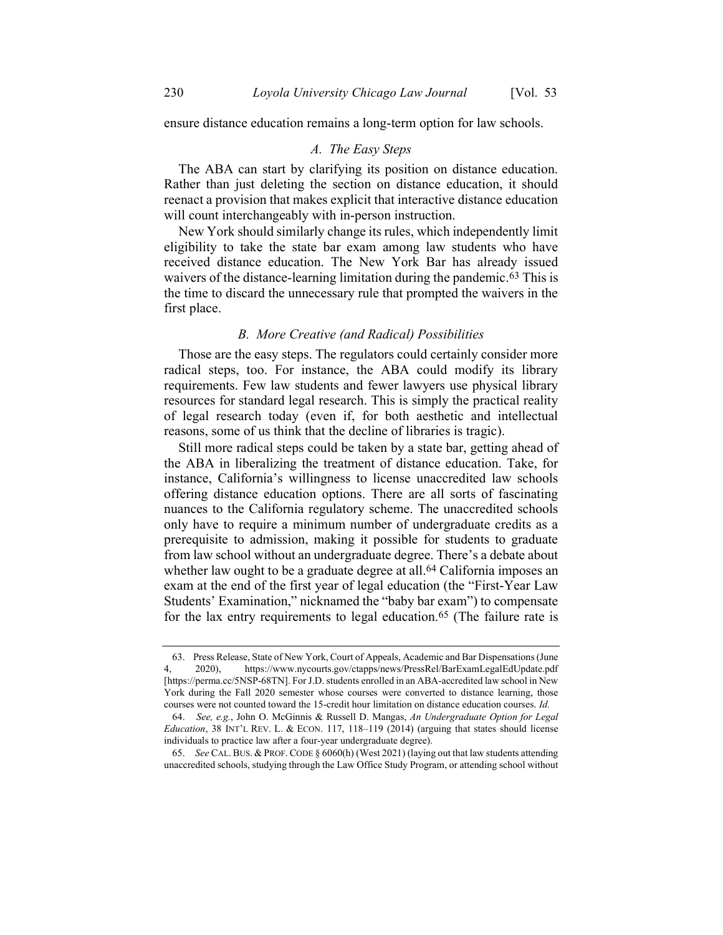ensure distance education remains a long-term option for law schools.

## A. The Easy Steps

The ABA can start by clarifying its position on distance education. Rather than just deleting the section on distance education, it should reenact a provision that makes explicit that interactive distance education will count interchangeably with in-person instruction.

New York should similarly change its rules, which independently limit eligibility to take the state bar exam among law students who have received distance education. The New York Bar has already issued waivers of the distance-learning limitation during the pandemic.<sup>63</sup> This is the time to discard the unnecessary rule that prompted the waivers in the first place.

#### B. More Creative (and Radical) Possibilities

Those are the easy steps. The regulators could certainly consider more radical steps, too. For instance, the ABA could modify its library requirements. Few law students and fewer lawyers use physical library resources for standard legal research. This is simply the practical reality of legal research today (even if, for both aesthetic and intellectual reasons, some of us think that the decline of libraries is tragic).

Still more radical steps could be taken by a state bar, getting ahead of the ABA in liberalizing the treatment of distance education. Take, for instance, California's willingness to license unaccredited law schools offering distance education options. There are all sorts of fascinating nuances to the California regulatory scheme. The unaccredited schools only have to require a minimum number of undergraduate credits as a prerequisite to admission, making it possible for students to graduate from law school without an undergraduate degree. There's a debate about whether law ought to be a graduate degree at all.<sup>64</sup> California imposes an exam at the end of the first year of legal education (the "First-Year Law Students' Examination," nicknamed the "baby bar exam") to compensate for the lax entry requirements to legal education.65 (The failure rate is

<sup>63.</sup> Press Release, State of New York, Court of Appeals, Academic and Bar Dispensations (June 4, 2020), https://www.nycourts.gov/ctapps/news/PressRel/BarExamLegalEdUpdate.pdf [https://perma.cc/5NSP-68TN]. For J.D. students enrolled in an ABA-accredited law school in New York during the Fall 2020 semester whose courses were converted to distance learning, those courses were not counted toward the 15-credit hour limitation on distance education courses. Id.

<sup>64.</sup> See, e.g., John O. McGinnis & Russell D. Mangas, An Undergraduate Option for Legal Education, 38 INT'L REV. L. & ECON. 117, 118–119 (2014) (arguing that states should license individuals to practice law after a four-year undergraduate degree).

<sup>65.</sup> See CAL. BUS. & PROF. CODE § 6060(h) (West 2021) (laying out that law students attending unaccredited schools, studying through the Law Office Study Program, or attending school without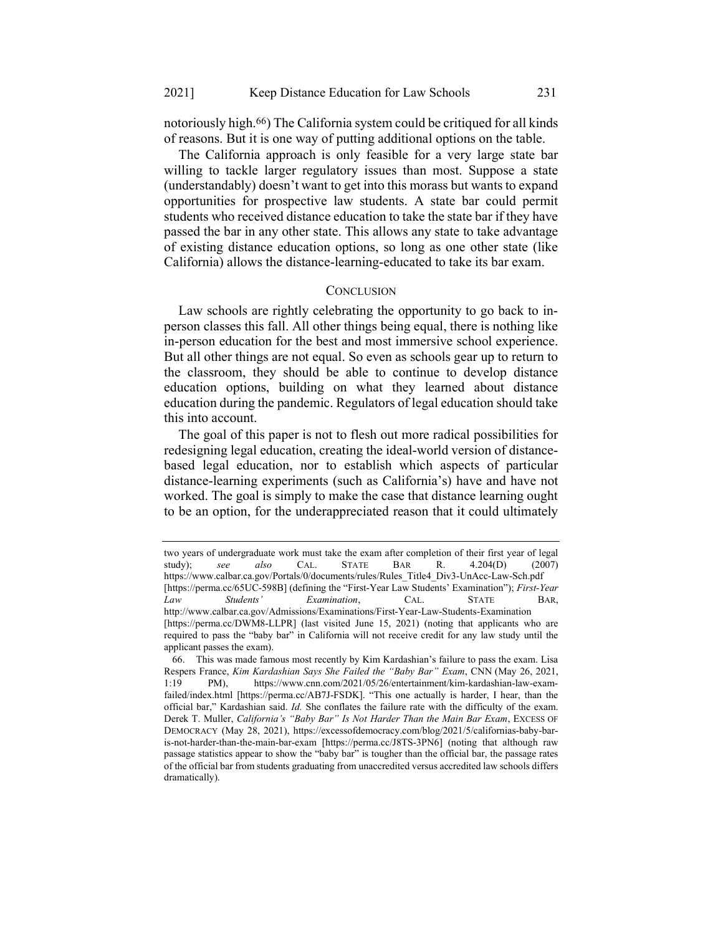notoriously high.66) The California system could be critiqued for all kinds of reasons. But it is one way of putting additional options on the table.

The California approach is only feasible for a very large state bar willing to tackle larger regulatory issues than most. Suppose a state (understandably) doesn't want to get into this morass but wants to expand opportunities for prospective law students. A state bar could permit students who received distance education to take the state bar if they have passed the bar in any other state. This allows any state to take advantage of existing distance education options, so long as one other state (like California) allows the distance-learning-educated to take its bar exam.

#### **CONCLUSION**

Law schools are rightly celebrating the opportunity to go back to inperson classes this fall. All other things being equal, there is nothing like in-person education for the best and most immersive school experience. But all other things are not equal. So even as schools gear up to return to the classroom, they should be able to continue to develop distance education options, building on what they learned about distance education during the pandemic. Regulators of legal education should take this into account.

The goal of this paper is not to flesh out more radical possibilities for redesigning legal education, creating the ideal-world version of distancebased legal education, nor to establish which aspects of particular distance-learning experiments (such as California's) have and have not worked. The goal is simply to make the case that distance learning ought to be an option, for the underappreciated reason that it could ultimately

two years of undergraduate work must take the exam after completion of their first year of legal study); see also CAL. STATE BAR R. 4.204(D) (2007) https://www.calbar.ca.gov/Portals/0/documents/rules/Rules\_Title4\_Div3-UnAcc-Law-Sch.pdf [https://perma.cc/65UC-598B] (defining the "First-Year Law Students' Examination"); First-Year Law Students' Examination, CAL. STATE BAR, http://www.calbar.ca.gov/Admissions/Examinations/First-Year-Law-Students-Examination [https://perma.cc/DWM8-LLPR] (last visited June 15, 2021) (noting that applicants who are required to pass the "baby bar" in California will not receive credit for any law study until the applicant passes the exam).

<sup>66.</sup> This was made famous most recently by Kim Kardashian's failure to pass the exam. Lisa Respers France, Kim Kardashian Says She Failed the "Baby Bar" Exam, CNN (May 26, 2021, 1:19 PM), https://www.cnn.com/2021/05/26/entertainment/kim-kardashian-law-examfailed/index.html [https://perma.cc/AB7J-FSDK]. "This one actually is harder, I hear, than the official bar," Kardashian said. Id. She conflates the failure rate with the difficulty of the exam. Derek T. Muller, California's "Baby Bar" Is Not Harder Than the Main Bar Exam, EXCESS OF DEMOCRACY (May 28, 2021), https://excessofdemocracy.com/blog/2021/5/californias-baby-baris-not-harder-than-the-main-bar-exam [https://perma.cc/J8TS-3PN6] (noting that although raw passage statistics appear to show the "baby bar" is tougher than the official bar, the passage rates of the official bar from students graduating from unaccredited versus accredited law schools differs dramatically).